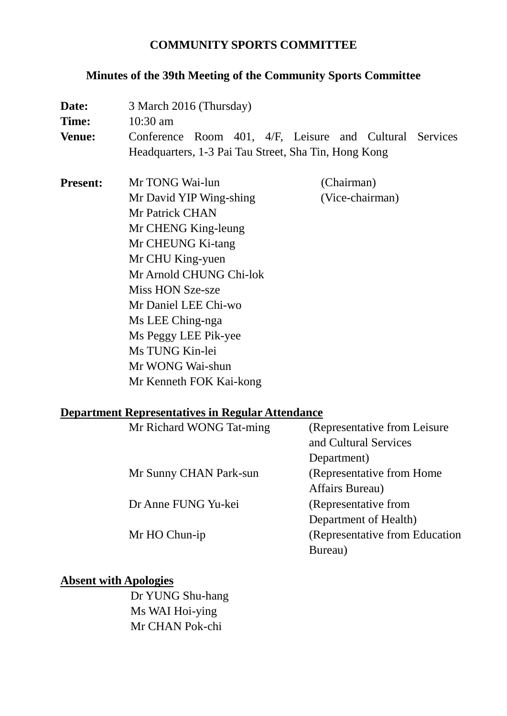## **COMMUNITY SPORTS COMMITTEE**

# **Minutes of the 39th Meeting of the Community Sports Committee**

| Date:                                                   | 3 March 2016 (Thursday)                                 |                 |  |  |
|---------------------------------------------------------|---------------------------------------------------------|-----------------|--|--|
| <b>Time:</b>                                            | 10:30 am                                                |                 |  |  |
| <b>Venue:</b>                                           | Conference Room 401, 4/F, Leisure and Cultural Services |                 |  |  |
|                                                         | Headquarters, 1-3 Pai Tau Street, Sha Tin, Hong Kong    |                 |  |  |
| <b>Present:</b>                                         | Mr TONG Wai-lun                                         | (Chairman)      |  |  |
|                                                         | Mr David YIP Wing-shing                                 | (Vice-chairman) |  |  |
|                                                         | <b>Mr Patrick CHAN</b>                                  |                 |  |  |
|                                                         | Mr CHENG King-leung                                     |                 |  |  |
|                                                         | Mr CHEUNG Ki-tang                                       |                 |  |  |
|                                                         | Mr CHU King-yuen                                        |                 |  |  |
|                                                         | Mr Arnold CHUNG Chi-lok                                 |                 |  |  |
|                                                         | Miss HON Sze-sze                                        |                 |  |  |
|                                                         | Mr Daniel LEE Chi-wo                                    |                 |  |  |
|                                                         | Ms LEE Ching-nga                                        |                 |  |  |
|                                                         | Ms Peggy LEE Pik-yee                                    |                 |  |  |
|                                                         | Ms TUNG Kin-lei                                         |                 |  |  |
|                                                         | Mr WONG Wai-shun                                        |                 |  |  |
|                                                         | Mr Kenneth FOK Kai-kong                                 |                 |  |  |
| <b>Department Representatives in Regular Attendance</b> |                                                         |                 |  |  |

| Mr Richard WONG Tat-ming | (Representative from Leisure)  |
|--------------------------|--------------------------------|
|                          | and Cultural Services          |
|                          | Department)                    |
| Mr Sunny CHAN Park-sun   | (Representative from Home)     |
|                          | Affairs Bureau)                |
| Dr Anne FUNG Yu-kei      | (Representative from           |
|                          | Department of Health)          |
| Mr HO Chun-ip            | (Representative from Education |
|                          | Bureau)                        |

### **Absent with Apologies**

Dr YUNG Shu-hang Ms WAI Hoi-ying Mr CHAN Pok-chi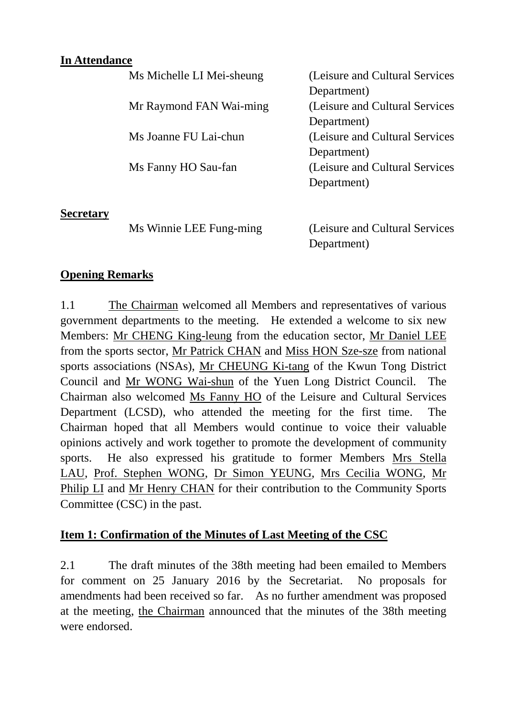#### **In Attendance**

|                  | Ms Michelle LI Mei-sheung | (Leisure and Cultural Services) |
|------------------|---------------------------|---------------------------------|
|                  |                           | Department)                     |
|                  | Mr Raymond FAN Wai-ming   | (Leisure and Cultural Services) |
|                  |                           | Department)                     |
|                  | Ms Joanne FU Lai-chun     | (Leisure and Cultural Services) |
|                  |                           | Department)                     |
|                  | Ms Fanny HO Sau-fan       | (Leisure and Cultural Services) |
|                  |                           | Department)                     |
| <b>Secretary</b> |                           |                                 |
|                  | Ms Winnie LEE Fung-ming   | (Leisure and Cultural Services) |

Department)

#### **Opening Remarks**

1.1 The Chairman welcomed all Members and representatives of various government departments to the meeting. He extended a welcome to six new Members: Mr CHENG King-leung from the education sector, Mr Daniel LEE from the sports sector, Mr Patrick CHAN and Miss HON Sze-sze from national sports associations (NSAs), Mr CHEUNG Ki-tang of the Kwun Tong District Council and Mr WONG Wai-shun of the Yuen Long District Council. The Chairman also welcomed Ms Fanny HO of the Leisure and Cultural Services Department (LCSD), who attended the meeting for the first time. The Chairman hoped that all Members would continue to voice their valuable opinions actively and work together to promote the development of community sports. He also expressed his gratitude to former Members Mrs Stella LAU, Prof. Stephen WONG, Dr Simon YEUNG, Mrs Cecilia WONG, Mr Philip LI and Mr Henry CHAN for their contribution to the Community Sports Committee (CSC) in the past.

#### **Item 1: Confirmation of the Minutes of Last Meeting of the CSC**

2.1 The draft minutes of the 38th meeting had been emailed to Members for comment on 25 January 2016 by the Secretariat. No proposals for amendments had been received so far. As no further amendment was proposed at the meeting, the Chairman announced that the minutes of the 38th meeting were endorsed.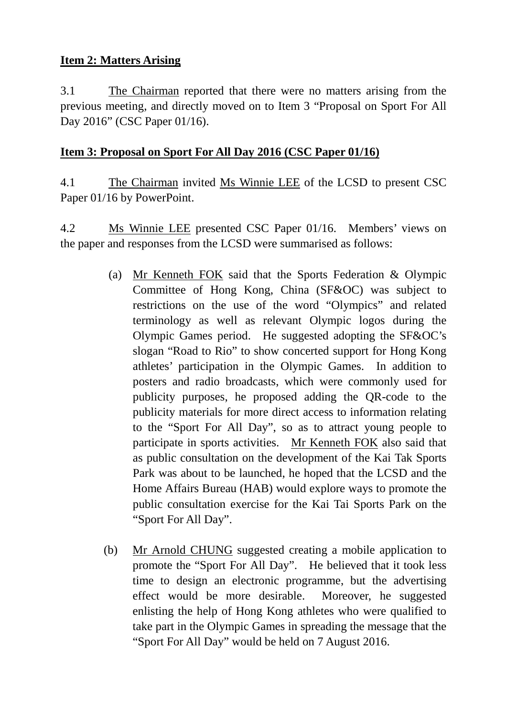### **Item 2: Matters Arising**

3.1 The Chairman reported that there were no matters arising from the previous meeting, and directly moved on to Item 3 "Proposal on Sport For All Day 2016" (CSC Paper 01/16).

### **Item 3: Proposal on Sport For All Day 2016 (CSC Paper 01/16)**

4.1 The Chairman invited Ms Winnie LEE of the LCSD to present CSC Paper 01/16 by PowerPoint.

4.2 Ms Winnie LEE presented CSC Paper 01/16. Members' views on the paper and responses from the LCSD were summarised as follows:

- (a) Mr Kenneth FOK said that the Sports Federation & Olympic Committee of Hong Kong, China (SF&OC) was subject to restrictions on the use of the word "Olympics" and related terminology as well as relevant Olympic logos during the Olympic Games period. He suggested adopting the SF&OC's slogan "Road to Rio" to show concerted support for Hong Kong athletes' participation in the Olympic Games. In addition to posters and radio broadcasts, which were commonly used for publicity purposes, he proposed adding the QR-code to the publicity materials for more direct access to information relating to the "Sport For All Day", so as to attract young people to participate in sports activities. Mr Kenneth FOK also said that as public consultation on the development of the Kai Tak Sports Park was about to be launched, he hoped that the LCSD and the Home Affairs Bureau (HAB) would explore ways to promote the public consultation exercise for the Kai Tai Sports Park on the "Sport For All Day".
- (b) Mr Arnold CHUNG suggested creating a mobile application to promote the "Sport For All Day". He believed that it took less time to design an electronic programme, but the advertising effect would be more desirable. Moreover, he suggested enlisting the help of Hong Kong athletes who were qualified to take part in the Olympic Games in spreading the message that the "Sport For All Day" would be held on 7 August 2016.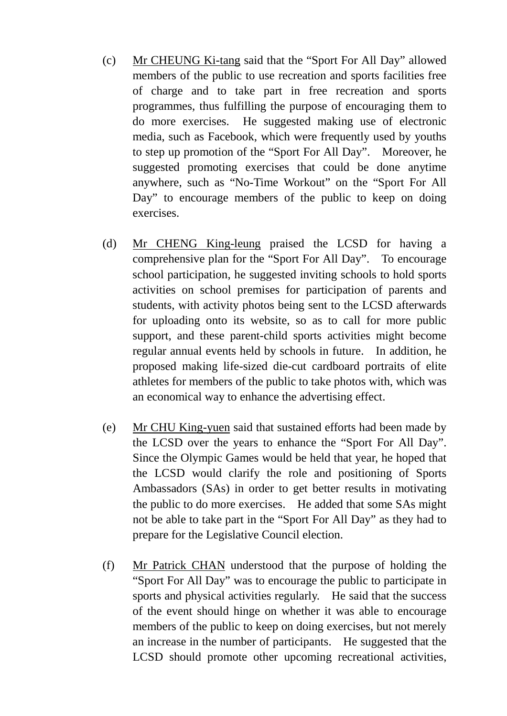- (c) Mr CHEUNG Ki-tang said that the "Sport For All Day" allowed members of the public to use recreation and sports facilities free of charge and to take part in free recreation and sports programmes, thus fulfilling the purpose of encouraging them to do more exercises. He suggested making use of electronic media, such as Facebook, which were frequently used by youths to step up promotion of the "Sport For All Day". Moreover, he suggested promoting exercises that could be done anytime anywhere, such as "No-Time Workout" on the "Sport For All Day" to encourage members of the public to keep on doing exercises.
- (d) Mr CHENG King-leung praised the LCSD for having a comprehensive plan for the "Sport For All Day". To encourage school participation, he suggested inviting schools to hold sports activities on school premises for participation of parents and students, with activity photos being sent to the LCSD afterwards for uploading onto its website, so as to call for more public support, and these parent-child sports activities might become regular annual events held by schools in future. In addition, he proposed making life-sized die-cut cardboard portraits of elite athletes for members of the public to take photos with, which was an economical way to enhance the advertising effect.
- (e) Mr CHU King-yuen said that sustained efforts had been made by the LCSD over the years to enhance the "Sport For All Day". Since the Olympic Games would be held that year, he hoped that the LCSD would clarify the role and positioning of Sports Ambassadors (SAs) in order to get better results in motivating the public to do more exercises. He added that some SAs might not be able to take part in the "Sport For All Day" as they had to prepare for the Legislative Council election.
- (f) Mr Patrick CHAN understood that the purpose of holding the "Sport For All Day" was to encourage the public to participate in sports and physical activities regularly. He said that the success of the event should hinge on whether it was able to encourage members of the public to keep on doing exercises, but not merely an increase in the number of participants. He suggested that the LCSD should promote other upcoming recreational activities,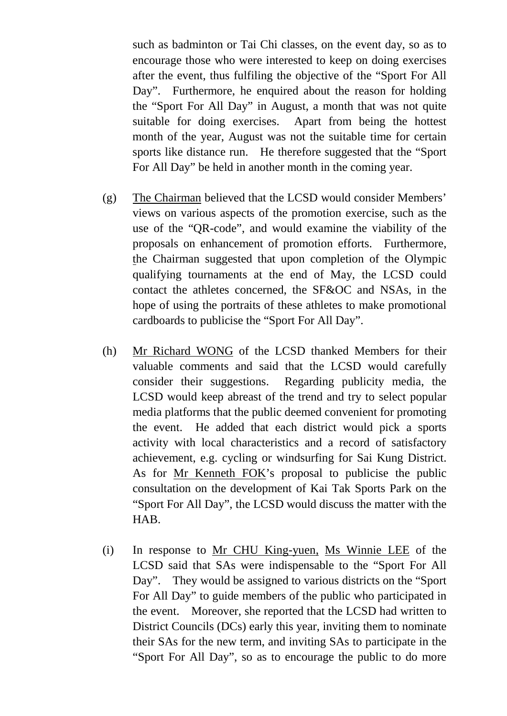such as badminton or Tai Chi classes, on the event day, so as to encourage those who were interested to keep on doing exercises after the event, thus fulfiling the objective of the "Sport For All Day". Furthermore, he enquired about the reason for holding the "Sport For All Day" in August, a month that was not quite suitable for doing exercises. Apart from being the hottest month of the year, August was not the suitable time for certain sports like distance run. He therefore suggested that the "Sport For All Day" be held in another month in the coming year.

- (g) The Chairman believed that the LCSD would consider Members' views on various aspects of the promotion exercise, such as the use of the "QR-code", and would examine the viability of the proposals on enhancement of promotion efforts. Furthermore, the Chairman suggested that upon completion of the Olympic qualifying tournaments at the end of May, the LCSD could contact the athletes concerned, the SF&OC and NSAs, in the hope of using the portraits of these athletes to make promotional cardboards to publicise the "Sport For All Day".
- (h) Mr Richard WONG of the LCSD thanked Members for their valuable comments and said that the LCSD would carefully consider their suggestions. Regarding publicity media, the LCSD would keep abreast of the trend and try to select popular media platforms that the public deemed convenient for promoting the event. He added that each district would pick a sports activity with local characteristics and a record of satisfactory achievement, e.g. cycling or windsurfing for Sai Kung District. As for Mr Kenneth FOK's proposal to publicise the public consultation on the development of Kai Tak Sports Park on the "Sport For All Day", the LCSD would discuss the matter with the HAB.
- (i) In response to Mr CHU King-yuen, Ms Winnie LEE of the LCSD said that SAs were indispensable to the "Sport For All Day". They would be assigned to various districts on the "Sport". For All Day" to guide members of the public who participated in the event. Moreover, she reported that the LCSD had written to District Councils (DCs) early this year, inviting them to nominate their SAs for the new term, and inviting SAs to participate in the "Sport For All Day", so as to encourage the public to do more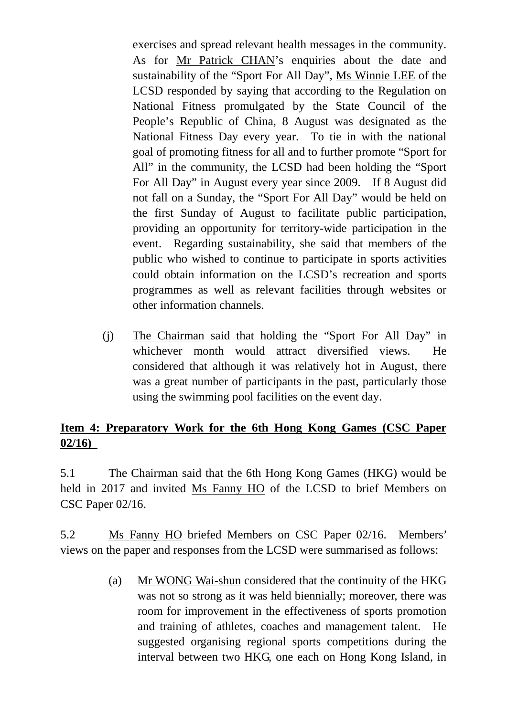exercises and spread relevant health messages in the community. As for Mr Patrick CHAN's enquiries about the date and sustainability of the "Sport For All Day", Ms Winnie LEE of the LCSD responded by saying that according to the Regulation on National Fitness promulgated by the State Council of the People's Republic of China, 8 August was designated as the National Fitness Day every year. To tie in with the national goal of promoting fitness for all and to further promote "Sport for All" in the community, the LCSD had been holding the "Sport For All Day" in August every year since 2009. If 8 August did not fall on a Sunday, the "Sport For All Day" would be held on the first Sunday of August to facilitate public participation, providing an opportunity for territory-wide participation in the event. Regarding sustainability, she said that members of the public who wished to continue to participate in sports activities could obtain information on the LCSD's recreation and sports programmes as well as relevant facilities through websites or other information channels.

(j) The Chairman said that holding the "Sport For All Day" in whichever month would attract diversified views. He considered that although it was relatively hot in August, there was a great number of participants in the past, particularly those using the swimming pool facilities on the event day.

### **Item 4: Preparatory Work for the 6th Hong Kong Games (CSC Paper 02/16)**

5.1 The Chairman said that the 6th Hong Kong Games (HKG) would be held in 2017 and invited Ms Fanny HO of the LCSD to brief Members on CSC Paper 02/16.

5.2 Ms Fanny HO briefed Members on CSC Paper 02/16. Members' views on the paper and responses from the LCSD were summarised as follows:

> (a) Mr WONG Wai-shun considered that the continuity of the HKG was not so strong as it was held biennially; moreover, there was room for improvement in the effectiveness of sports promotion and training of athletes, coaches and management talent. He suggested organising regional sports competitions during the interval between two HKG, one each on Hong Kong Island, in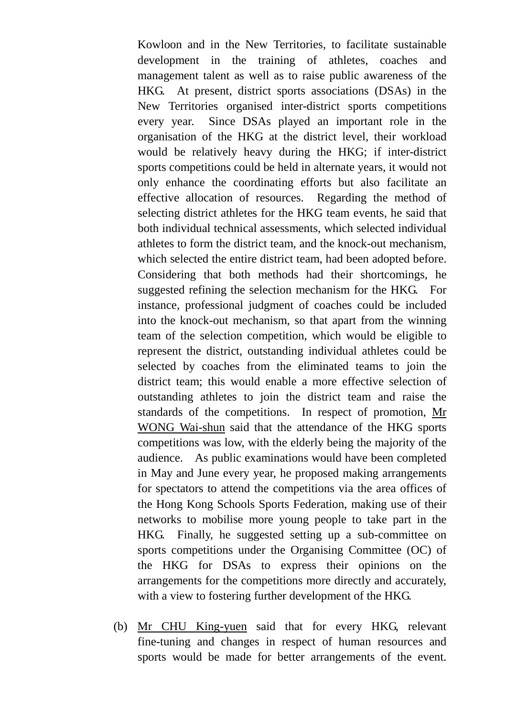Kowloon and in the New Territories, to facilitate sustainable development in the training of athletes, coaches and management talent as well as to raise public awareness of the HKG. At present, district sports associations (DSAs) in the New Territories organised inter-district sports competitions every year. Since DSAs played an important role in the organisation of the HKG at the district level, their workload would be relatively heavy during the HKG; if inter-district sports competitions could be held in alternate years, it would not only enhance the coordinating efforts but also facilitate an effective allocation of resources. Regarding the method of selecting district athletes for the HKG team events, he said that both individual technical assessments, which selected individual athletes to form the district team, and the knock-out mechanism, which selected the entire district team, had been adopted before. Considering that both methods had their shortcomings, he suggested refining the selection mechanism for the HKG. For instance, professional judgment of coaches could be included into the knock-out mechanism, so that apart from the winning team of the selection competition, which would be eligible to represent the district, outstanding individual athletes could be selected by coaches from the eliminated teams to join the district team; this would enable a more effective selection of outstanding athletes to join the district team and raise the standards of the competitions. In respect of promotion, Mr WONG Wai-shun said that the attendance of the HKG sports competitions was low, with the elderly being the majority of the audience. As public examinations would have been completed in May and June every year, he proposed making arrangements for spectators to attend the competitions via the area offices of the Hong Kong Schools Sports Federation, making use of their networks to mobilise more young people to take part in the HKG. Finally, he suggested setting up a sub-committee on sports competitions under the Organising Committee (OC) of the HKG for DSAs to express their opinions on the arrangements for the competitions more directly and accurately, with a view to fostering further development of the HKG.

(b) Mr CHU King-yuen said that for every HKG, relevant fine-tuning and changes in respect of human resources and sports would be made for better arrangements of the event.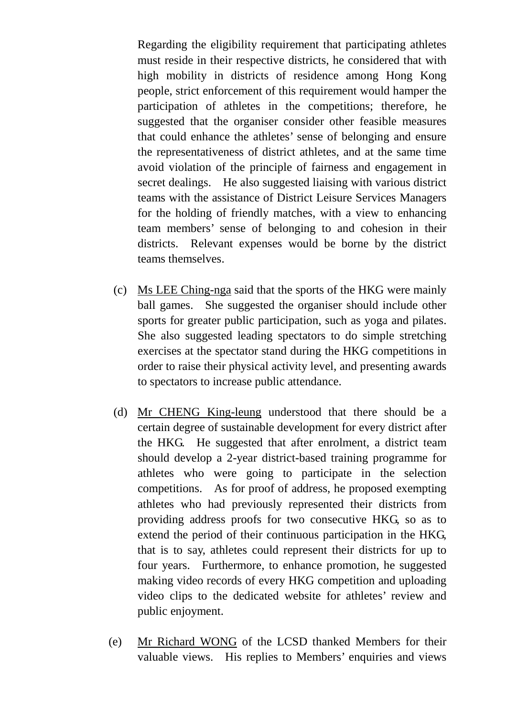Regarding the eligibility requirement that participating athletes must reside in their respective districts, he considered that with high mobility in districts of residence among Hong Kong people, strict enforcement of this requirement would hamper the participation of athletes in the competitions; therefore, he suggested that the organiser consider other feasible measures that could enhance the athletes' sense of belonging and ensure the representativeness of district athletes, and at the same time avoid violation of the principle of fairness and engagement in secret dealings. He also suggested liaising with various district teams with the assistance of District Leisure Services Managers for the holding of friendly matches, with a view to enhancing team members' sense of belonging to and cohesion in their districts. Relevant expenses would be borne by the district teams themselves.

- (c) Ms LEE Ching-nga said that the sports of the HKG were mainly ball games. She suggested the organiser should include other sports for greater public participation, such as yoga and pilates. She also suggested leading spectators to do simple stretching exercises at the spectator stand during the HKG competitions in order to raise their physical activity level, and presenting awards to spectators to increase public attendance.
- (d) Mr CHENG King-leung understood that there should be a certain degree of sustainable development for every district after the HKG. He suggested that after enrolment, a district team should develop a 2-year district-based training programme for athletes who were going to participate in the selection competitions. As for proof of address, he proposed exempting athletes who had previously represented their districts from providing address proofs for two consecutive HKG, so as to extend the period of their continuous participation in the HKG, that is to say, athletes could represent their districts for up to four years. Furthermore, to enhance promotion, he suggested making video records of every HKG competition and uploading video clips to the dedicated website for athletes' review and public enjoyment.
- (e) Mr Richard WONG of the LCSD thanked Members for their valuable views. His replies to Members' enquiries and views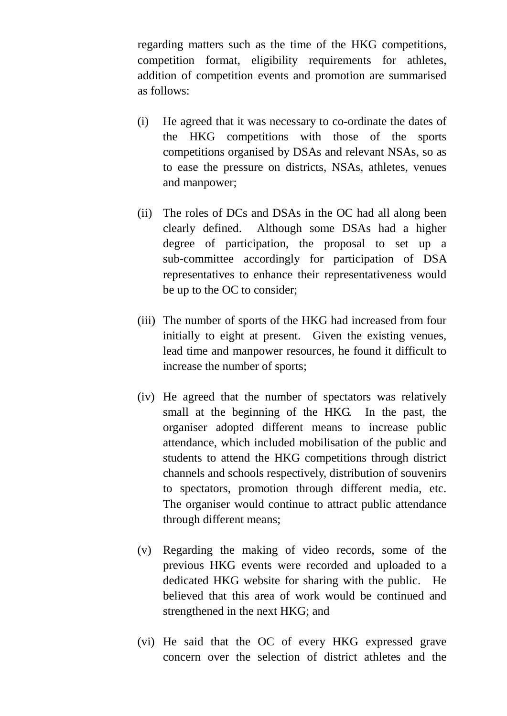regarding matters such as the time of the HKG competitions, competition format, eligibility requirements for athletes, addition of competition events and promotion are summarised as follows:

- (i) He agreed that it was necessary to co-ordinate the dates of the HKG competitions with those of the sports competitions organised by DSAs and relevant NSAs, so as to ease the pressure on districts, NSAs, athletes, venues and manpower;
- (ii) The roles of DCs and DSAs in the OC had all along been clearly defined. Although some DSAs had a higher degree of participation, the proposal to set up a sub-committee accordingly for participation of DSA representatives to enhance their representativeness would be up to the OC to consider;
- (iii) The number of sports of the HKG had increased from four initially to eight at present. Given the existing venues, lead time and manpower resources, he found it difficult to increase the number of sports;
- (iv) He agreed that the number of spectators was relatively small at the beginning of the HKG. In the past, the organiser adopted different means to increase public attendance, which included mobilisation of the public and students to attend the HKG competitions through district channels and schools respectively, distribution of souvenirs to spectators, promotion through different media, etc. The organiser would continue to attract public attendance through different means;
- (v) Regarding the making of video records, some of the previous HKG events were recorded and uploaded to a dedicated HKG website for sharing with the public. He believed that this area of work would be continued and strengthened in the next HKG; and
- (vi) He said that the OC of every HKG expressed grave concern over the selection of district athletes and the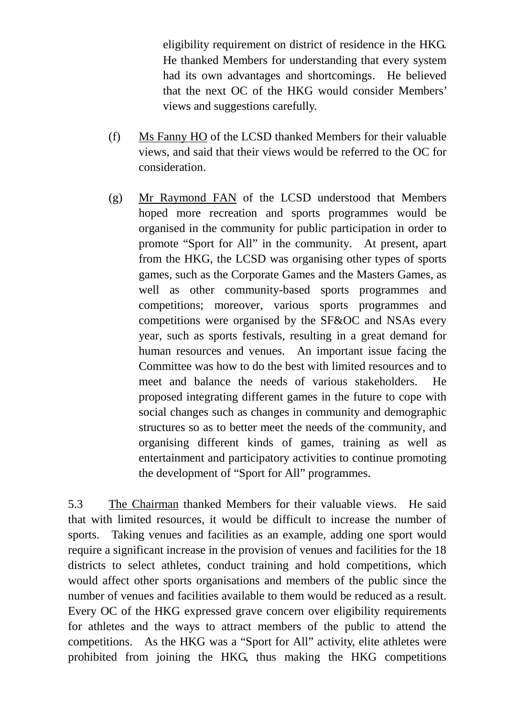eligibility requirement on district of residence in the HKG. He thanked Members for understanding that every system had its own advantages and shortcomings. He believed that the next OC of the HKG would consider Members' views and suggestions carefully.

- (f) Ms Fanny HO of the LCSD thanked Members for their valuable views, and said that their views would be referred to the OC for consideration.
- (g) Mr Raymond FAN of the LCSD understood that Members hoped more recreation and sports programmes would be organised in the community for public participation in order to promote "Sport for All" in the community. At present, apart from the HKG, the LCSD was organising other types of sports games, such as the Corporate Games and the Masters Games, as well as other community-based sports programmes and competitions; moreover, various sports programmes and competitions were organised by the SF&OC and NSAs every year, such as sports festivals, resulting in a great demand for human resources and venues. An important issue facing the Committee was how to do the best with limited resources and to meet and balance the needs of various stakeholders. He proposed integrating different games in the future to cope with social changes such as changes in community and demographic structures so as to better meet the needs of the community, and organising different kinds of games, training as well as entertainment and participatory activities to continue promoting the development of "Sport for All" programmes.

5.3 The Chairman thanked Members for their valuable views. He said that with limited resources, it would be difficult to increase the number of sports. Taking venues and facilities as an example, adding one sport would require a significant increase in the provision of venues and facilities for the 18 districts to select athletes, conduct training and hold competitions, which would affect other sports organisations and members of the public since the number of venues and facilities available to them would be reduced as a result. Every OC of the HKG expressed grave concern over eligibility requirements for athletes and the ways to attract members of the public to attend the competitions. As the HKG was a "Sport for All" activity, elite athletes were prohibited from joining the HKG, thus making the HKG competitions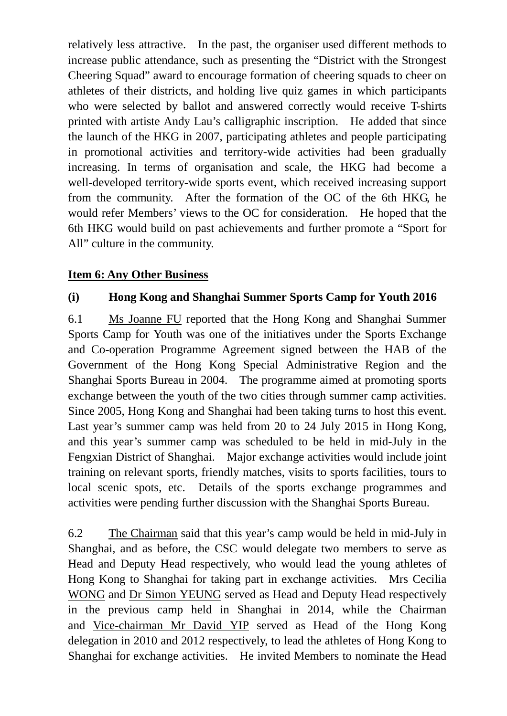relatively less attractive. In the past, the organiser used different methods to increase public attendance, such as presenting the "District with the Strongest Cheering Squad" award to encourage formation of cheering squads to cheer on athletes of their districts, and holding live quiz games in which participants who were selected by ballot and answered correctly would receive T-shirts printed with artiste Andy Lau's calligraphic inscription. He added that since the launch of the HKG in 2007, participating athletes and people participating in promotional activities and territory-wide activities had been gradually increasing. In terms of organisation and scale, the HKG had become a well-developed territory-wide sports event, which received increasing support from the community. After the formation of the OC of the 6th HKG, he would refer Members' views to the OC for consideration. He hoped that the 6th HKG would build on past achievements and further promote a "Sport for All" culture in the community.

### **Item 6: Any Other Business**

### **(i) Hong Kong and Shanghai Summer Sports Camp for Youth 2016**

6.1 Ms Joanne FU reported that the Hong Kong and Shanghai Summer Sports Camp for Youth was one of the initiatives under the Sports Exchange and Co-operation Programme Agreement signed between the HAB of the Government of the Hong Kong Special Administrative Region and the Shanghai Sports Bureau in 2004. The programme aimed at promoting sports exchange between the youth of the two cities through summer camp activities. Since 2005, Hong Kong and Shanghai had been taking turns to host this event. Last year's summer camp was held from 20 to 24 July 2015 in Hong Kong, and this year's summer camp was scheduled to be held in mid-July in the Fengxian District of Shanghai. Major exchange activities would include joint training on relevant sports, friendly matches, visits to sports facilities, tours to local scenic spots, etc. Details of the sports exchange programmes and activities were pending further discussion with the Shanghai Sports Bureau.

6.2 The Chairman said that this year's camp would be held in mid-July in Shanghai, and as before, the CSC would delegate two members to serve as Head and Deputy Head respectively, who would lead the young athletes of Hong Kong to Shanghai for taking part in exchange activities. Mrs Cecilia WONG and Dr Simon YEUNG served as Head and Deputy Head respectively in the previous camp held in Shanghai in 2014, while the Chairman and Vice-chairman Mr David YIP served as Head of the Hong Kong delegation in 2010 and 2012 respectively, to lead the athletes of Hong Kong to Shanghai for exchange activities. He invited Members to nominate the Head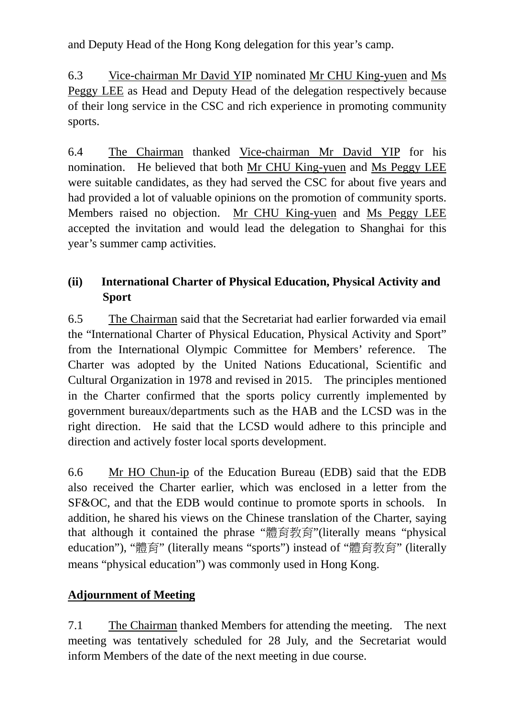and Deputy Head of the Hong Kong delegation for this year's camp.

6.3 Vice-chairman Mr David YIP nominated Mr CHU King-yuen and Ms Peggy LEE as Head and Deputy Head of the delegation respectively because of their long service in the CSC and rich experience in promoting community sports.

6.4 The Chairman thanked Vice-chairman Mr David YIP for his nomination. He believed that both Mr CHU King-yuen and Ms Peggy LEE were suitable candidates, as they had served the CSC for about five years and had provided a lot of valuable opinions on the promotion of community sports. Members raised no objection. Mr CHU King-yuen and Ms Peggy LEE accepted the invitation and would lead the delegation to Shanghai for this year's summer camp activities.

## **(ii) International Charter of Physical Education, Physical Activity and Sport**

6.5 The Chairman said that the Secretariat had earlier forwarded via email the "International Charter of Physical Education, Physical Activity and Sport" from the International Olympic Committee for Members' reference. The Charter was adopted by the United Nations Educational, Scientific and Cultural Organization in 1978 and revised in 2015. The principles mentioned in the Charter confirmed that the sports policy currently implemented by government bureaux/departments such as the HAB and the LCSD was in the right direction. He said that the LCSD would adhere to this principle and direction and actively foster local sports development.

6.6 Mr HO Chun-ip of the Education Bureau (EDB) said that the EDB also received the Charter earlier, which was enclosed in a letter from the SF&OC, and that the EDB would continue to promote sports in schools. In addition, he shared his views on the Chinese translation of the Charter, saying that although it contained the phrase "體育教育"(literally means "physical education"), "體育" (literally means "sports") instead of "體育教育" (literally means "physical education") was commonly used in Hong Kong.

## **Adjournment of Meeting**

7.1 The Chairman thanked Members for attending the meeting. The next meeting was tentatively scheduled for 28 July, and the Secretariat would inform Members of the date of the next meeting in due course.